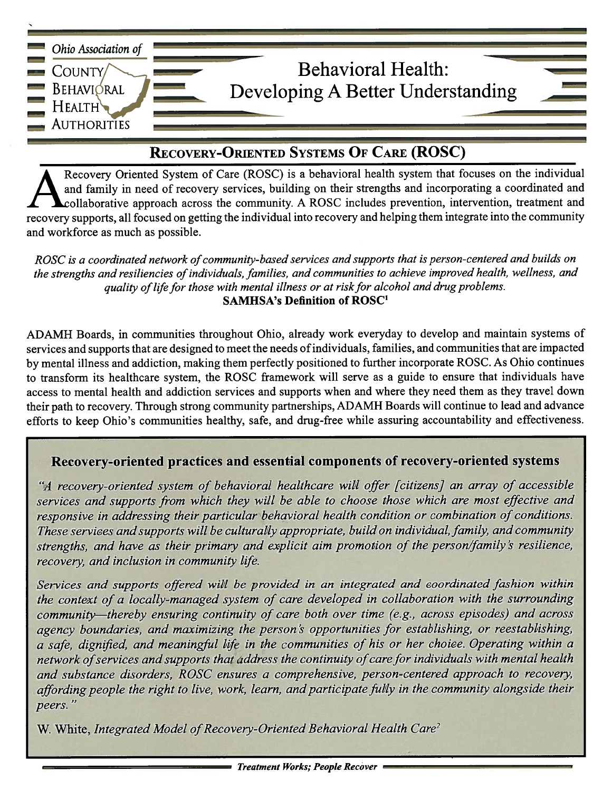

## RECOVERY-ORIENTED SYSTEMS OF CARE (ROSC)

Recovery Oriented System of Care (ROSC) is <sup>a</sup> behavioral health system that focuses on the individual and family in need of recovery services, building on their strengths and incorporating <sup>a</sup> coordinated and ollaborative approac<sup>h</sup> across the community. <sup>A</sup> ROSC includes prevention, intervention, treatment and recovery supports, all focused on getting the individual into recovery and helping them integrate into the community and workforce as much as possible.

ROSC is a coordinated network of community-based services and supports that is person-centered and builds on the strengths and resiliencies of individuals, families, and communities to achieve improved health, wellness, and quality of life for those with mental illness or at risk for alcohol and drug problems. SAMHSA's Definition of ROSC'

ADAMH Boards, in communities throughout Ohio, already work everyday to develop and maintain systems of services and supports that are designed to meet the needs ofindividuals, families, and communities that are impacted by mental illness and addiction, making them perfectly positioned to further incorporate ROSC. As Ohio continues to transform its healthcare system, the ROSC framework will serve as <sup>a</sup> guide to ensure that individuals have access to mental health and addiction services and supports when and where they need them as they travel down their path to recovery. Through strong community partnerships, ADAMH Boards will continue to lead and advance efforts to keep Ohio's communities healthy, safe, and drug-free while assuring accountability and effectiveness.

## Recovery-oriented practices and essential components of recovery-oriented systems

"A recovery-oriented system of behavioral healthcare will offer [citizens] an array of accessible services and supports from which they will be able to choose those which are most effective and responsive in addressing their particular behavioral health condition or combination of conditions. These services and supports will be culturally appropriate, build on individual, family, and community strengths, and have as their primary and explicit aim promotion of the person/family's resilience, recovery, and inclusion in community life.

Services and supports offered will be provided in an integrated and coordinated fashion within the context of <sup>a</sup> locally-managed system of care developed in collaboration with the surrounding community—thereby ensuring continuity of care both over time (e.g., across episodes) and across agency boundaries, and maximizing the person's opportunities for establishing, or reestablishing, a safe, dignified, and meaningful life in the communities of his or her choice. Operating within a network of services and supports that address the continuity of care for individuals with mental health and substance disorders, ROSC ensures <sup>a</sup> comprehensive, person-centered approach to recovery, affording people the right to live, work, learn, and participate fully in the community alongside their peers."

W. White, Integrated Model of Recovery-Oriented Behavioral Health Care<sup>1</sup>